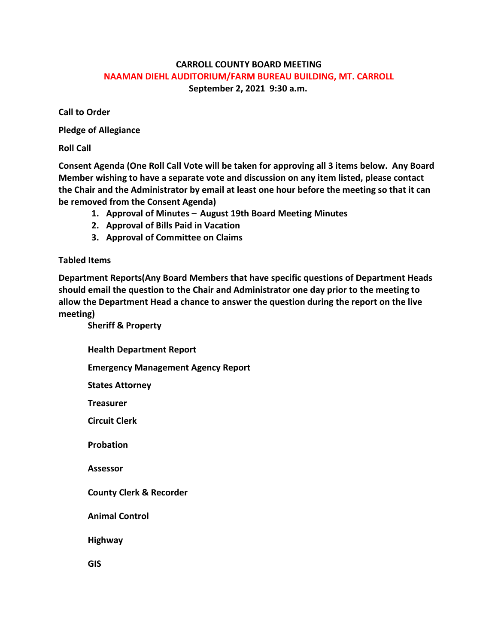## **CARROLL COUNTY BOARD MEETING NAAMAN DIEHL AUDITORIUM/FARM BUREAU BUILDING, MT. CARROLL September 2, 2021 9:30 a.m.**

**Call to Order**

**Pledge of Allegiance**

**Roll Call**

**Consent Agenda (One Roll Call Vote will be taken for approving all 3 items below. Any Board Member wishing to have a separate vote and discussion on any item listed, please contact the Chair and the Administrator by email at least one hour before the meeting so that it can be removed from the Consent Agenda)**

- **1. Approval of Minutes – August 19th Board Meeting Minutes**
- **2. Approval of Bills Paid in Vacation**
- **3. Approval of Committee on Claims**

**Tabled Items**

**Department Reports(Any Board Members that have specific questions of Department Heads should email the question to the Chair and Administrator one day prior to the meeting to allow the Department Head a chance to answer the question during the report on the live meeting)**

**Sheriff & Property Health Department Report Emergency Management Agency Report States Attorney Treasurer Circuit Clerk Probation Assessor County Clerk & Recorder Animal Control Highway GIS**